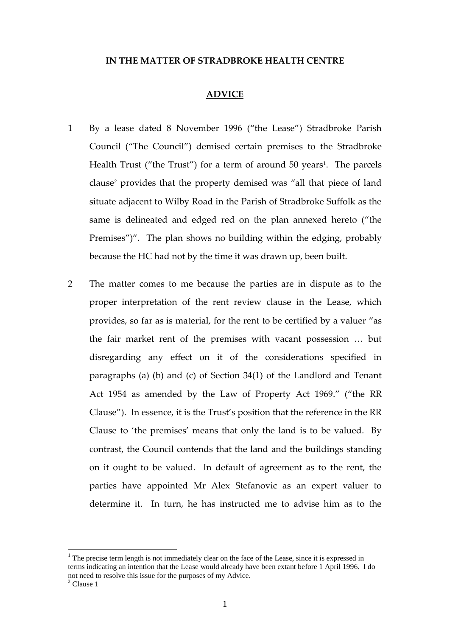#### **IN THE MATTER OF STRADBROKE HEALTH CENTRE**

#### **ADVICE**

- 1 By a lease dated 8 November 1996 ("the Lease") Stradbroke Parish Council ("The Council") demised certain premises to the Stradbroke Health Trust ("the Trust") for a term of around 50 years<sup>1</sup>. The parcels clause<sup>2</sup> provides that the property demised was "all that piece of land situate adjacent to Wilby Road in the Parish of Stradbroke Suffolk as the same is delineated and edged red on the plan annexed hereto ("the Premises")". The plan shows no building within the edging, probably because the HC had not by the time it was drawn up, been built.
- 2 The matter comes to me because the parties are in dispute as to the proper interpretation of the rent review clause in the Lease, which provides, so far as is material, for the rent to be certified by a valuer "as the fair market rent of the premises with vacant possession … but disregarding any effect on it of the considerations specified in paragraphs (a) (b) and (c) of Section 34(1) of the Landlord and Tenant Act 1954 as amended by the Law of Property Act 1969." ("the RR Clause"). In essence, it is the Trust's position that the reference in the RR Clause to 'the premises' means that only the land is to be valued. By contrast, the Council contends that the land and the buildings standing on it ought to be valued. In default of agreement as to the rent, the parties have appointed Mr Alex Stefanovic as an expert valuer to determine it. In turn, he has instructed me to advise him as to the

 $<sup>1</sup>$  The precise term length is not immediately clear on the face of the Lease, since it is expressed in</sup> terms indicating an intention that the Lease would already have been extant before 1 April 1996. I do not need to resolve this issue for the purposes of my Advice.

<sup>2</sup> Clause 1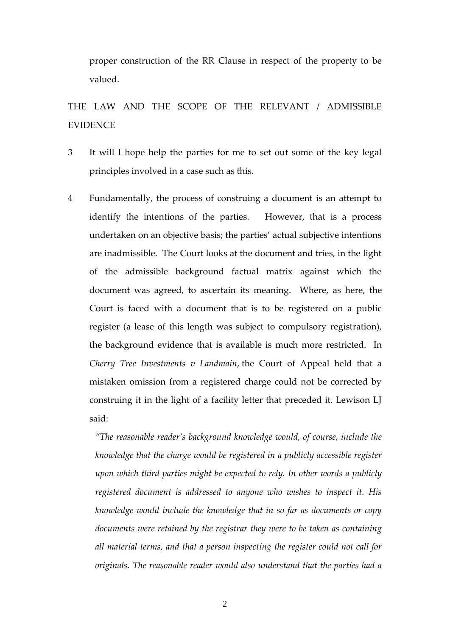proper construction of the RR Clause in respect of the property to be valued.

# THE LAW AND THE SCOPE OF THE RELEVANT / ADMISSIBLE EVIDENCE

- 3 It will I hope help the parties for me to set out some of the key legal principles involved in a case such as this.
- 4 Fundamentally, the process of construing a document is an attempt to identify the intentions of the parties. However, that is a process undertaken on an objective basis; the parties' actual subjective intentions are inadmissible. The Court looks at the document and tries, in the light of the admissible background factual matrix against which the document was agreed, to ascertain its meaning. Where, as here, the Court is faced with a document that is to be registered on a public register (a lease of this length was subject to compulsory registration), the background evidence that is available is much more restricted. In *Cherry Tree Investments v Landmain*, the Court of Appeal held that a mistaken omission from a registered charge could not be corrected by construing it in the light of a facility letter that preceded it. Lewison LJ said:

*"The reasonable reader's background knowledge would, of course, include the knowledge that the charge would be registered in a publicly accessible register upon which third parties might be expected to rely. In other words a publicly registered document is addressed to anyone who wishes to inspect it. His knowledge would include the knowledge that in so far as documents or copy documents were retained by the registrar they were to be taken as containing all material terms, and that a person inspecting the register could not call for originals. The reasonable reader would also understand that the parties had a*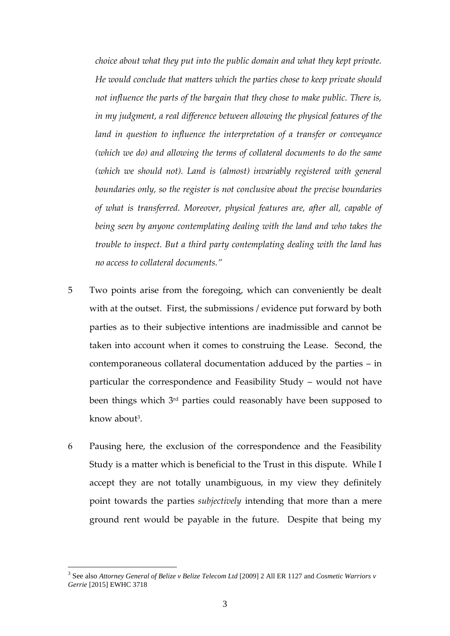*choice about what they put into the public domain and what they kept private. He would conclude that matters which the parties chose to keep private should not influence the parts of the bargain that they chose to make public. There is, in my judgment, a real difference between allowing the physical features of the land in question to influence the interpretation of a transfer or conveyance (which we do) and allowing the terms of collateral documents to do the same (which we should not). Land is (almost) invariably registered with general boundaries only, so the register is not conclusive about the precise boundaries of what is transferred. Moreover, physical features are, after all, capable of being seen by anyone contemplating dealing with the land and who takes the trouble to inspect. But a third party contemplating dealing with the land has no access to collateral documents."*

- 5 Two points arise from the foregoing, which can conveniently be dealt with at the outset. First, the submissions / evidence put forward by both parties as to their subjective intentions are inadmissible and cannot be taken into account when it comes to construing the Lease. Second, the contemporaneous collateral documentation adduced by the parties – in particular the correspondence and Feasibility Study – would not have been things which 3rd parties could reasonably have been supposed to know about<sup>3</sup>.
- 6 Pausing here, the exclusion of the correspondence and the Feasibility Study is a matter which is beneficial to the Trust in this dispute. While I accept they are not totally unambiguous, in my view they definitely point towards the parties *subjectively* intending that more than a mere ground rent would be payable in the future. Despite that being my

<sup>&</sup>lt;sup>3</sup> See also *Attorney General of Belize v Belize Telecom Ltd* [2009] 2 All ER 1127 and *Cosmetic Warriors v Gerrie* [2015] EWHC 3718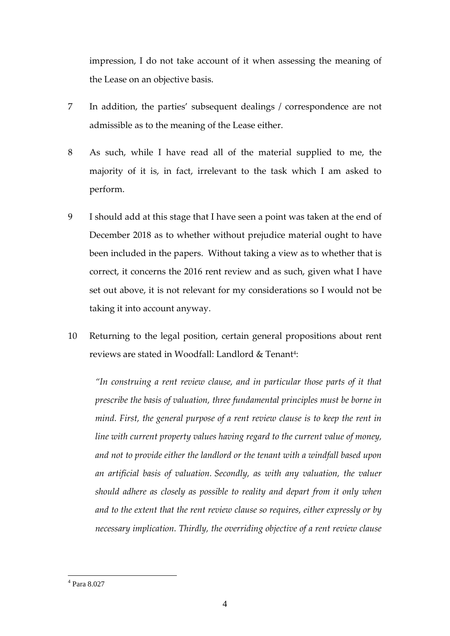impression, I do not take account of it when assessing the meaning of the Lease on an objective basis.

- 7 In addition, the parties' subsequent dealings / correspondence are not admissible as to the meaning of the Lease either.
- 8 As such, while I have read all of the material supplied to me, the majority of it is, in fact, irrelevant to the task which I am asked to perform.
- 9 I should add at this stage that I have seen a point was taken at the end of December 2018 as to whether without prejudice material ought to have been included in the papers. Without taking a view as to whether that is correct, it concerns the 2016 rent review and as such, given what I have set out above, it is not relevant for my considerations so I would not be taking it into account anyway.
- 10 Returning to the legal position, certain general propositions about rent reviews are stated in Woodfall: Landlord & Tenant<sup>4</sup> :

*"In construing a rent review clause, and in particular those parts of it that prescribe the basis of valuation, three fundamental principles must be borne in mind. First, the general purpose of a rent review clause is to keep the rent in line with current property values having regard to the current value of money, and not to provide either the landlord or the tenant with a windfall based upon an artificial basis of valuation. Secondly, as with any valuation, the valuer should adhere as closely as possible to reality and depart from it only when and to the extent that the rent review clause so requires, either expressly or by necessary implication. Thirdly, the overriding objective of a rent review clause* 

<u>.</u>

<sup>4</sup> Para 8.027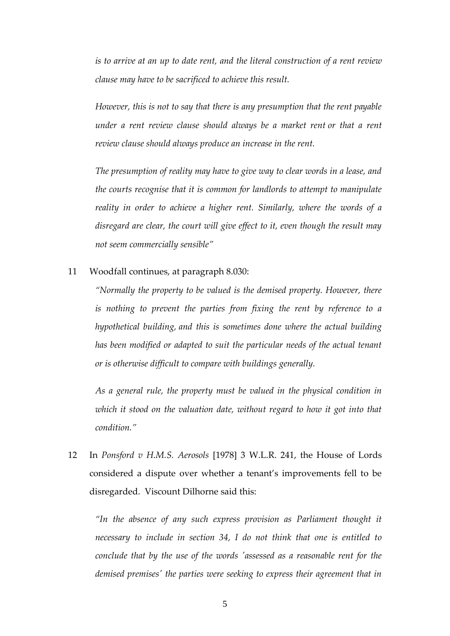*is to arrive at an up to date rent, and the literal construction of a rent review clause may have to be sacrificed to achieve this result.* 

*However, this is not to say that there is any presumption that the rent payable under a rent review clause should always be a market rent or that a rent review clause should always produce an increase in the rent.* 

*The presumption of reality may have to give way to clear words in a lease, and the courts recognise that it is common for landlords to attempt to manipulate reality in order to achieve a higher rent. Similarly, where the words of a disregard are clear, the court will give effect to it, even though the result may not seem commercially sensible"*

11 Woodfall continues, at paragraph 8.030:

*"Normally the property to be valued is the demised property. However, there is nothing to prevent the parties from fixing the rent by reference to a hypothetical building, and this is sometimes done where the actual building has been modified or adapted to suit the particular needs of the actual tenant or is otherwise difficult to compare with buildings generally.*

*As a general rule, the property must be valued in the physical condition in which it stood on the valuation date, without regard to how it got into that condition."*

12 In *Ponsford v H.M.S. Aerosols* [1978] 3 W.L.R. 241, the House of Lords considered a dispute over whether a tenant's improvements fell to be disregarded. Viscount Dilhorne said this:

*"In the absence of any such express provision as Parliament thought it necessary to include in section 34, I do not think that one is entitled to conclude that by the use of the words 'assessed as a reasonable rent for the demised premises' the parties were seeking to express their agreement that in*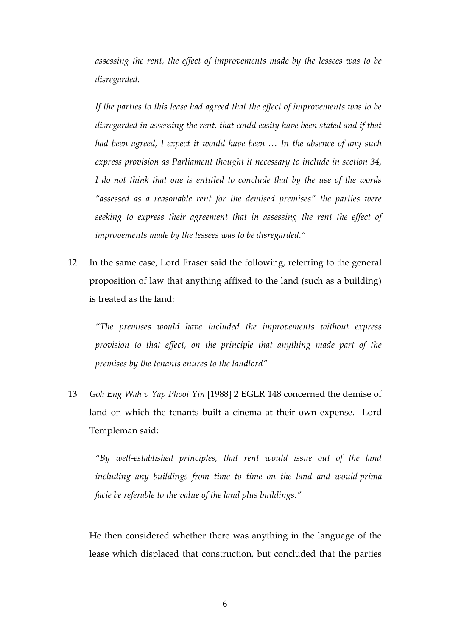*assessing the rent, the effect of improvements made by the lessees was to be disregarded.*

*If the parties to this lease had agreed that the effect of improvements was to be disregarded in assessing the rent, that could easily have been stated and if that had been agreed, I expect it would have been … In the absence of any such express provision as Parliament thought it necessary to include in section 34, I do not think that one is entitled to conclude that by the use of the words "assessed as a reasonable rent for the demised premises" the parties were seeking to express their agreement that in assessing the rent the effect of improvements made by the lessees was to be disregarded."*

12 In the same case, Lord Fraser said the following, referring to the general proposition of law that anything affixed to the land (such as a building) is treated as the land:

*"The premises would have included the improvements without express provision to that effect, on the principle that anything made part of the premises by the tenants enures to the landlord"*

13 *Goh Eng Wah v Yap Phooi Yin* [1988] 2 EGLR 148 concerned the demise of land on which the tenants built a cinema at their own expense. Lord Templeman said:

*"By well-established principles, that rent would issue out of the land including any buildings from time to time on the land and would prima facie be referable to the value of the land plus buildings."*

He then considered whether there was anything in the language of the lease which displaced that construction, but concluded that the parties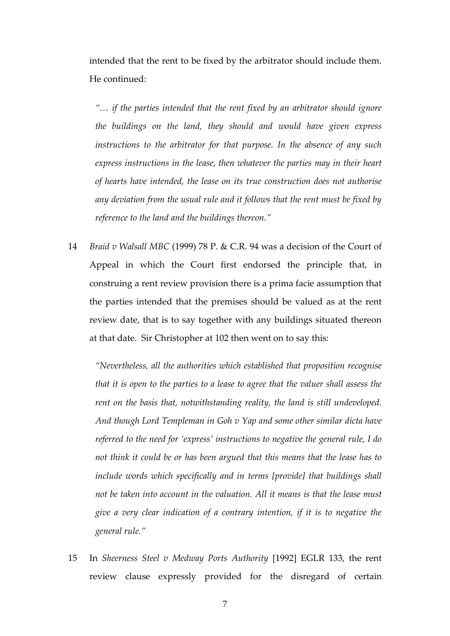intended that the rent to be fixed by the arbitrator should include them. He continued:

*"… if the parties intended that the rent fixed by an arbitrator should ignore the buildings on the land, they should and would have given express instructions to the arbitrator for that purpose. In the absence of any such express instructions in the lease, then whatever the parties may in their heart of hearts have intended, the lease on its true construction does not authorise any deviation from the usual rule and it follows that the rent must be fixed by reference to the land and the buildings thereon."*

14 *Braid v Walsall MBC* (1999) 78 P. & C.R. 94 was a decision of the Court of Appeal in which the Court first endorsed the principle that, in construing a rent review provision there is a prima facie assumption that the parties intended that the premises should be valued as at the rent review date, that is to say together with any buildings situated thereon at that date. Sir Christopher at 102 then went on to say this:

*"Nevertheless, all the authorities which established that proposition recognise that it is open to the parties to a lease to agree that the valuer shall assess the rent on the basis that, notwithstanding reality, the land is still undeveloped. And though Lord Templeman in Goh v Yap and some other similar dicta have referred to the need for 'express' instructions to negative the general rule, I do not think it could be or has been argued that this means that the lease has to*  include words which specifically and in terms [provide] that buildings shall *not be taken into account in the valuation. All it means is that the lease must give a very clear indication of a contrary intention, if it is to negative the general rule."*

15 In *Sheerness Steel v Medway Ports Authority* [1992] EGLR 133, the rent review clause expressly provided for the disregard of certain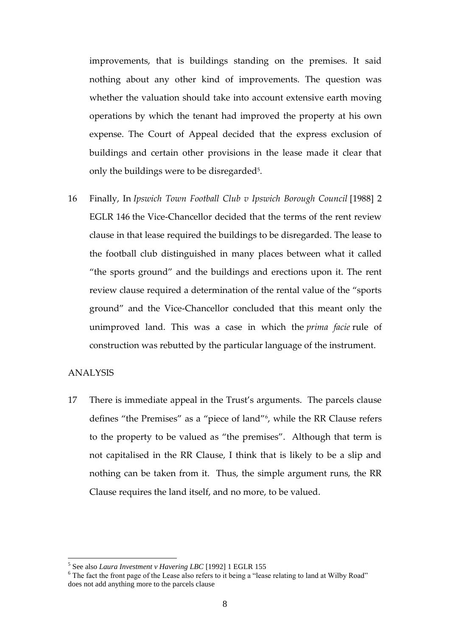improvements, that is buildings standing on the premises. It said nothing about any other kind of improvements. The question was whether the valuation should take into account extensive earth moving operations by which the tenant had improved the property at his own expense. The Court of Appeal decided that the express exclusion of buildings and certain other provisions in the lease made it clear that only the buildings were to be disregarded<sup>5</sup>.

16 Finally, In *Ipswich Town Football Club v Ipswich Borough Council* [1988] 2 EGLR 146 the Vice-Chancellor decided that the terms of the rent review clause in that lease required the buildings to be disregarded. The lease to the football club distinguished in many places between what it called "the sports ground" and the buildings and erections upon it. The rent review clause required a determination of the rental value of the "sports ground" and the Vice-Chancellor concluded that this meant only the unimproved land. This was a case in which the *prima facie* rule of construction was rebutted by the particular language of the instrument.

#### ANALYSIS

1

17 There is immediate appeal in the Trust's arguments. The parcels clause defines "the Premises" as a "piece of land"<sup>6</sup> , while the RR Clause refers to the property to be valued as "the premises". Although that term is not capitalised in the RR Clause, I think that is likely to be a slip and nothing can be taken from it. Thus, the simple argument runs, the RR Clause requires the land itself, and no more, to be valued.

<sup>5</sup> See also *Laura Investment v Havering LBC* [1992] 1 EGLR 155

<sup>6</sup> The fact the front page of the Lease also refers to it being a "lease relating to land at Wilby Road" does not add anything more to the parcels clause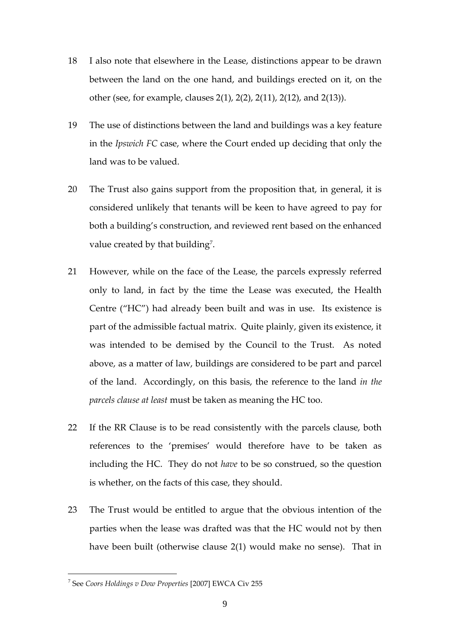- 18 I also note that elsewhere in the Lease, distinctions appear to be drawn between the land on the one hand, and buildings erected on it, on the other (see, for example, clauses 2(1), 2(2), 2(11), 2(12), and 2(13)).
- 19 The use of distinctions between the land and buildings was a key feature in the *Ipswich FC* case, where the Court ended up deciding that only the land was to be valued.
- 20 The Trust also gains support from the proposition that, in general, it is considered unlikely that tenants will be keen to have agreed to pay for both a building's construction, and reviewed rent based on the enhanced value created by that building<sup>7</sup>.
- 21 However, while on the face of the Lease, the parcels expressly referred only to land, in fact by the time the Lease was executed, the Health Centre ("HC") had already been built and was in use. Its existence is part of the admissible factual matrix. Quite plainly, given its existence, it was intended to be demised by the Council to the Trust. As noted above, as a matter of law, buildings are considered to be part and parcel of the land. Accordingly, on this basis, the reference to the land *in the parcels clause at least* must be taken as meaning the HC too.
- 22 If the RR Clause is to be read consistently with the parcels clause, both references to the 'premises' would therefore have to be taken as including the HC. They do not *have* to be so construed, so the question is whether, on the facts of this case, they should.
- 23 The Trust would be entitled to argue that the obvious intention of the parties when the lease was drafted was that the HC would not by then have been built (otherwise clause 2(1) would make no sense). That in

<sup>7</sup> See *Coors Holdings v Dow Properties* [2007] EWCA Civ 255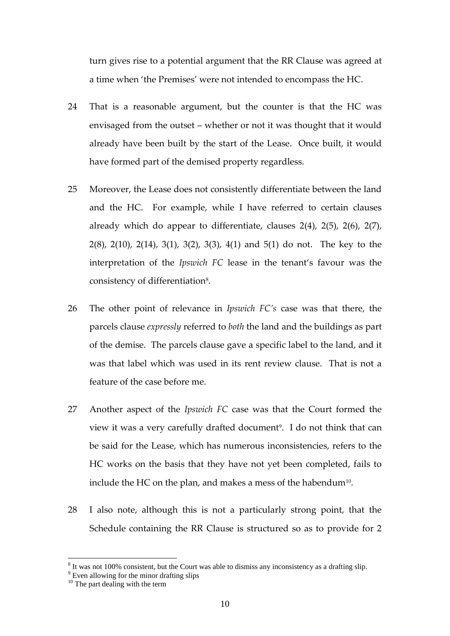turn gives rise to a potential argument that the RR Clause was agreed at a time when 'the Premises' were not intended to encompass the HC.

- 24 That is a reasonable argument, but the counter is that the HC was envisaged from the outset – whether or not it was thought that it would already have been built by the start of the Lease. Once built, it would have formed part of the demised property regardless.
- 25 Moreover, the Lease does not consistently differentiate between the land and the HC. For example, while I have referred to certain clauses already which do appear to differentiate, clauses 2(4), 2(5), 2(6), 2(7), 2(8), 2(10), 2(14), 3(1), 3(2), 3(3), 4(1) and 5(1) do not. The key to the interpretation of the *Ipswich FC* lease in the tenant's favour was the consistency of differentiation $8$ .
- 26 The other point of relevance in *Ipswich FC's* case was that there, the parcels clause *expressly* referred to *both* the land and the buildings as part of the demise. The parcels clause gave a specific label to the land, and it was that label which was used in its rent review clause. That is not a feature of the case before me.
- 27 Another aspect of the *Ipswich FC* case was that the Court formed the view it was a very carefully drafted document<sup>9</sup>. I do not think that can be said for the Lease, which has numerous inconsistencies, refers to the HC works on the basis that they have not yet been completed, fails to include the HC on the plan, and makes a mess of the habendum $^{\rm 10}$ .
- 28 I also note, although this is not a particularly strong point, that the Schedule containing the RR Clause is structured so as to provide for 2

 $8$  It was not 100% consistent, but the Court was able to dismiss any inconsistency as a drafting slip.

<sup>&</sup>lt;sup>9</sup> Even allowing for the minor drafting slips

<sup>&</sup>lt;sup>10</sup> The part dealing with the term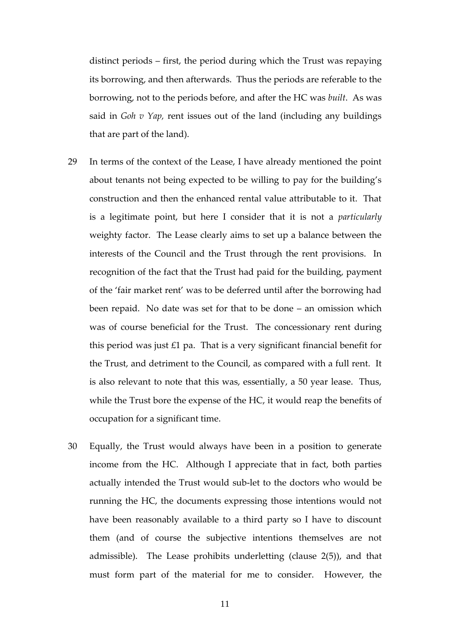distinct periods – first, the period during which the Trust was repaying its borrowing, and then afterwards. Thus the periods are referable to the borrowing, not to the periods before, and after the HC was *built*. As was said in *Goh v Yap,* rent issues out of the land (including any buildings that are part of the land).

- 29 In terms of the context of the Lease, I have already mentioned the point about tenants not being expected to be willing to pay for the building's construction and then the enhanced rental value attributable to it. That is a legitimate point, but here I consider that it is not a *particularly* weighty factor. The Lease clearly aims to set up a balance between the interests of the Council and the Trust through the rent provisions. In recognition of the fact that the Trust had paid for the building, payment of the 'fair market rent' was to be deferred until after the borrowing had been repaid. No date was set for that to be done – an omission which was of course beneficial for the Trust. The concessionary rent during this period was just  $£1$  pa. That is a very significant financial benefit for the Trust, and detriment to the Council, as compared with a full rent. It is also relevant to note that this was, essentially, a 50 year lease. Thus, while the Trust bore the expense of the HC, it would reap the benefits of occupation for a significant time.
- 30 Equally, the Trust would always have been in a position to generate income from the HC. Although I appreciate that in fact, both parties actually intended the Trust would sub-let to the doctors who would be running the HC, the documents expressing those intentions would not have been reasonably available to a third party so I have to discount them (and of course the subjective intentions themselves are not admissible). The Lease prohibits underletting (clause 2(5)), and that must form part of the material for me to consider. However, the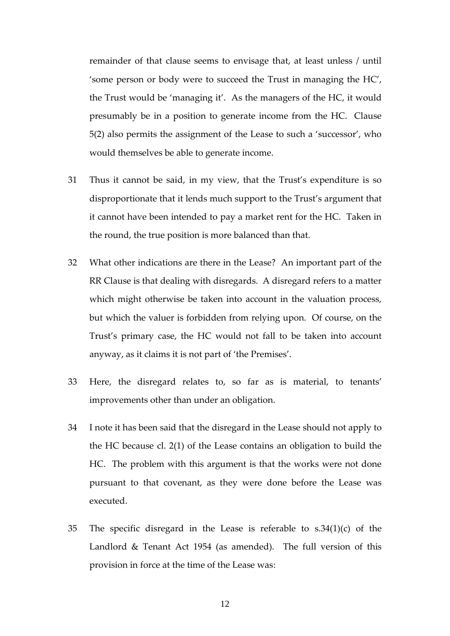remainder of that clause seems to envisage that, at least unless / until 'some person or body were to succeed the Trust in managing the HC', the Trust would be 'managing it'. As the managers of the HC, it would presumably be in a position to generate income from the HC. Clause 5(2) also permits the assignment of the Lease to such a 'successor', who would themselves be able to generate income.

- 31 Thus it cannot be said, in my view, that the Trust's expenditure is so disproportionate that it lends much support to the Trust's argument that it cannot have been intended to pay a market rent for the HC. Taken in the round, the true position is more balanced than that.
- 32 What other indications are there in the Lease? An important part of the RR Clause is that dealing with disregards. A disregard refers to a matter which might otherwise be taken into account in the valuation process, but which the valuer is forbidden from relying upon. Of course, on the Trust's primary case, the HC would not fall to be taken into account anyway, as it claims it is not part of 'the Premises'.
- 33 Here, the disregard relates to, so far as is material, to tenants' improvements other than under an obligation.
- 34 I note it has been said that the disregard in the Lease should not apply to the HC because cl. 2(1) of the Lease contains an obligation to build the HC. The problem with this argument is that the works were not done pursuant to that covenant, as they were done before the Lease was executed.
- 35 The specific disregard in the Lease is referable to s.34(1)(c) of the Landlord & Tenant Act 1954 (as amended). The full version of this provision in force at the time of the Lease was: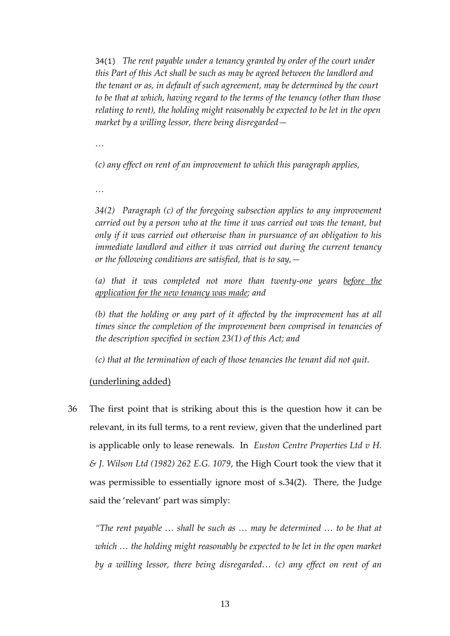34(1) *The rent payable under a tenancy granted by order of the court under this Part of this Act shall be such as may be agreed between the landlord and the tenant or as, in default of such agreement, may be determined by the court to be that at which, having regard to the terms of the tenancy (other than those relating to rent), the holding might reasonably be expected to be let in the open market by a willing lessor, there being disregarded—*

*…*

*(c) any effect on rent of an improvement to which this paragraph applies,*

*…*

*34(2) Paragraph (c) of the foregoing subsection applies to any improvement carried out by a person who at the time it was carried out was the tenant, but only if it was carried out otherwise than in pursuance of an obligation to his immediate landlord and either it was carried out during the current tenancy or the following conditions are satisfied, that is to say,—*

*(a) that it was completed not more than twenty-one years before the application for the new tenancy was made; and*

*(b) that the holding or any part of it affected by the improvement has at all times since the completion of the improvement been comprised in tenancies of the description specified in section 23(1) of this Act; and*

*(c) that at the termination of each of those tenancies the tenant did not quit.*

## (underlining added)

36 The first point that is striking about this is the question how it can be relevant, in its full terms, to a rent review, given that the underlined part is applicable only to lease renewals. In *[Euston Centre Properties Ltd v H.](https://login.westlaw.co.uk/maf/wluk/app/document?src=doc&linktype=ref&context=453&crumb-action=replace&docguid=I5D3B5F70E43611DA8FC2A0F0355337E9)  [& J. Wilson Ltd \(1982\) 262 E.G. 1079](https://login.westlaw.co.uk/maf/wluk/app/document?src=doc&linktype=ref&context=453&crumb-action=replace&docguid=I5D3B5F70E43611DA8FC2A0F0355337E9)*, the High Court took the view that it was permissible to essentially ignore most of s.34(2). There, the Judge said the 'relevant' part was simply:

*"The rent payable … shall be such as … may be determined … to be that at which … the holding might reasonably be expected to be let in the open market by a willing lessor, there being disregarded… (c) any effect on rent of an*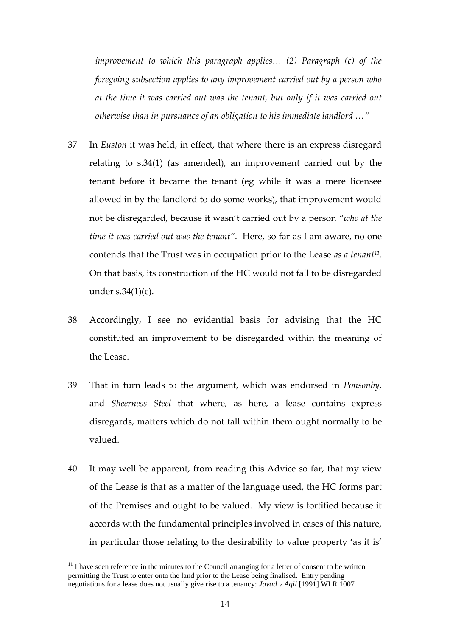*improvement to which this paragraph applies… (2) Paragraph (c) of the foregoing subsection applies to any improvement carried out by a person who at the time it was carried out was the tenant, but only if it was carried out otherwise than in pursuance of an obligation to his immediate landlord …"*

- 37 In *Euston* it was held, in effect, that where there is an express disregard relating to s.34(1) (as amended), an improvement carried out by the tenant before it became the tenant (eg while it was a mere licensee allowed in by the landlord to do some works), that improvement would not be disregarded, because it wasn't carried out by a person *"who at the time it was carried out was the tenant"*. Here, so far as I am aware, no one contends that the Trust was in occupation prior to the Lease *as a tenant<sup>11</sup>* . On that basis, its construction of the HC would not fall to be disregarded under  $s.34(1)(c)$ .
- 38 Accordingly, I see no evidential basis for advising that the HC constituted an improvement to be disregarded within the meaning of the Lease.
- 39 That in turn leads to the argument, which was endorsed in *Ponsonby*, and *Sheerness Steel* that where, as here, a lease contains express disregards, matters which do not fall within them ought normally to be valued.
- 40 It may well be apparent, from reading this Advice so far, that my view of the Lease is that as a matter of the language used, the HC forms part of the Premises and ought to be valued. My view is fortified because it accords with the fundamental principles involved in cases of this nature, in particular those relating to the desirability to value property 'as it is'

 $11$  I have seen reference in the minutes to the Council arranging for a letter of consent to be written permitting the Trust to enter onto the land prior to the Lease being finalised. Entry pending negotiations for a lease does not usually give rise to a tenancy: *Javad v Aqil* [1991] WLR 1007